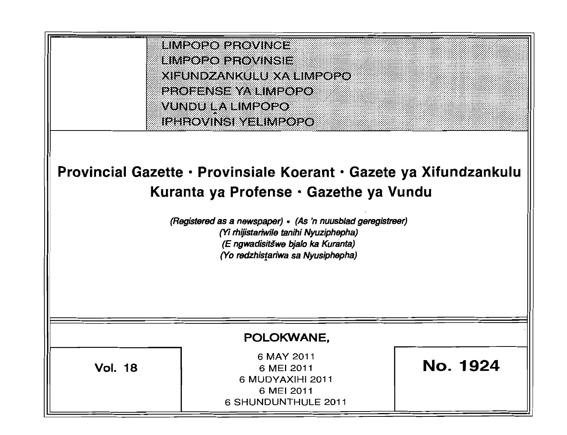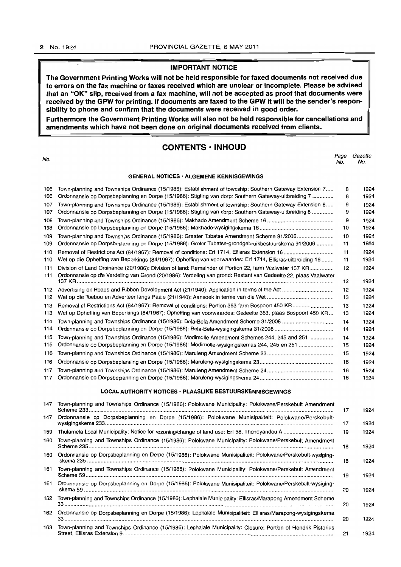# **IMPORTANT NOTICE**

The Government Printing Works will not be held responsible for faxed documents not received due **to errors on the fax machine or faxes received which are unclear or incomplete. Please be advised** . **that an "OK" slip, received from a fax machine, will not be accepted as proof that documents were received by the GPW for printing. If documents are faxed to the GPW it will be the sender's responsibility to phone and confirm that the documents were received in good order.** 

**Furthermore the Government Printing Works will also not be held responsible for cancellations and amendments which have not been done on original documents received from clients.** 

## **CONTENTS· INHOUD**

#### no.<br>No. Page Gazette No. No.

#### **GENERAL NOTICES' ALGEMENE KENNISGEWINGS**

| 106<br>106 | Town-planning and Townships Ordinance (15/1986): Establishment of township: Southern Gateway Extension 7<br>Ordonnansie op Dorpsbeplanning en Dorpe (15/1986): Stigting van dorp: Southern Gateway-uitbreiding 7 | 8<br>8 | 1924<br>1924 |
|------------|------------------------------------------------------------------------------------------------------------------------------------------------------------------------------------------------------------------|--------|--------------|
|            |                                                                                                                                                                                                                  |        |              |
| 107<br>107 | Town-planning and Townships Ordinance (15/1986): Establishment of township: Southern Gateway Extension 8<br>Ordonnansie op Dorpsbeplanning en Dorpe (15/1986): Stigting van dorp: Southern Gateway-uitbreiding 8 | 9<br>9 | 1924<br>1924 |
| 108        |                                                                                                                                                                                                                  | 9      | 1924         |
| 108        |                                                                                                                                                                                                                  | 10     | 1924         |
| 109        | Town-planning and Townships Ordinance (15/1986): Greater Tubatse Amendment Scheme 91/2006                                                                                                                        | 10     | 1924         |
| 109        | Ordonnansie op Dorpsbeplanning en Dorpe (15/1986): Groter Tubatse-grondgebruikbestuurskema 91/2006                                                                                                               | 11     | 1924         |
| 110        |                                                                                                                                                                                                                  | 11     | 1924         |
| 110        | Wet op die Opheffing van Beperkings (84/1967): Opheffing van voorwaardes: Erf 1714, Ellisras-uitbreiding 16                                                                                                      | 11     | 1924         |
| 111        | Division of Land Ordinance (20/1986): Division of land: Remainder of Portion 22, farm Vaalwater 137 KR                                                                                                           | 12     | 1924         |
| 111        | Ordonnansie op die Verdeling van Grond (20/1986): Verdeling van grond: Restant van Gedeelte 22, plaas Vaalwater                                                                                                  | 12     | 1924         |
| 112        |                                                                                                                                                                                                                  | 12     | 1924         |
| 112        |                                                                                                                                                                                                                  | 13     | 1924         |
| 113        |                                                                                                                                                                                                                  | 13     | 1924         |
| 113        | Wet op Opheffing van Beperkings (84/1967): Opheffing van voorwaardes: Gedeelte 363, plaas Bospoort 450 KR                                                                                                        | 13     | 1924         |
| 114        |                                                                                                                                                                                                                  | 14     | 1924         |
| 114        |                                                                                                                                                                                                                  | 14     | 1924         |
| 115        | Town-planning and Townships Ordinance (15/1986): Modimolle Amendment Schemes 244, 245 and 251                                                                                                                    | 14     | 1924         |
| 115        | Ordonnansie op Dorpsbeplanning en Dorpe (15/1986): Modimolle-wysigingskemas 244, 245 en 251                                                                                                                      | 15     | 1924         |
| 116        |                                                                                                                                                                                                                  | 15     | 1924         |
| 116        |                                                                                                                                                                                                                  | 16     | 1924         |
| 117        |                                                                                                                                                                                                                  | 16     | 1924         |
| 117        |                                                                                                                                                                                                                  | 16     | 1924         |
|            | <b>LOCAL AUTHORITY NOTICES · PLAASLIKE BESTUURSKENNISGEWINGS</b>                                                                                                                                                 |        |              |
| 147        | Town-planning and Townships Ordinance (15/1986): Polokwane Municipality: Polokwane/Perskebult Amendment                                                                                                          | 17     | 1924         |
| 147        | Ordonnansie op Dorpsbeplanning en Dorpe (15/1986): Polokwane Munisipaliteit: Polokwane/Perskebult-                                                                                                               |        |              |
|            |                                                                                                                                                                                                                  | 17     | 1924         |
| 159        |                                                                                                                                                                                                                  | 19     | 1924         |
| 160        | Town-planning and Townships Ordinance (15/1986): Polokwane Municipality: Polokwane/Perskebult Amendment                                                                                                          | 18     | 1924         |
| 160        | Ordonnansie op Dorpsbeplanning en Dorpe (15/1986): Polokwane Munisipaliteit: Polokwane/Perskebult-wysiging-                                                                                                      | 18     | 1924         |
| 161        | Town-planning and Townships Ordinance (15/1986): Polokwane Municipality: Polokwane/Perskebult Amendment                                                                                                          | 19     | 1924         |
| 161        | Ordonnansie op Dorpsbeplanning en Dorpe (15/1986): Polokwane Munisipaliteit: Polokwane/Perskebult-wysiging-                                                                                                      | 20     | 1924         |
| 162        | Town-planning and Townships Ordinance (15/1986): Lephalale Municipality: Ellisras/Marapong Amendment Scheme                                                                                                      | 20     | 1924         |
| 162        | Ordonnansie op Dorpsbeplanning en Dorpe (15/1986): Lephalale Munisipaliteit: Ellisras/Marapong-wysigingskema                                                                                                     | 20     | 1924         |
| 163        | Town-planning and Townships Ordinance (15/1986): Lephalale Municipality: Closure: Portion of Hendrik Pistorius                                                                                                   | 21     | 1924         |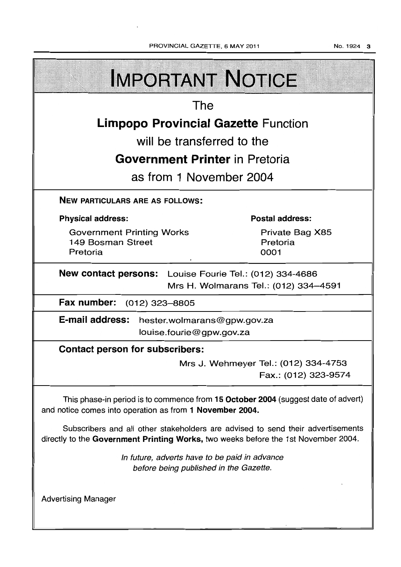No. 1924 3

| <b>IMPORTANT NOTICE</b>                                                                                                                                               |                                     |  |  |  |  |
|-----------------------------------------------------------------------------------------------------------------------------------------------------------------------|-------------------------------------|--|--|--|--|
| The                                                                                                                                                                   |                                     |  |  |  |  |
| <b>Limpopo Provincial Gazette Function</b>                                                                                                                            |                                     |  |  |  |  |
| will be transferred to the                                                                                                                                            |                                     |  |  |  |  |
| <b>Government Printer</b> in Pretoria                                                                                                                                 |                                     |  |  |  |  |
| as from 1 November 2004                                                                                                                                               |                                     |  |  |  |  |
| <b>NEW PARTICULARS ARE AS FOLLOWS:</b>                                                                                                                                |                                     |  |  |  |  |
| <b>Physical address:</b>                                                                                                                                              | <b>Postal address:</b>              |  |  |  |  |
| <b>Government Printing Works</b><br>149 Bosman Street<br>Pretoria                                                                                                     | Private Bag X85<br>Pretoria<br>0001 |  |  |  |  |
| New contact persons: Louise Fourie Tel.: (012) 334-4686<br>Mrs H. Wolmarans Tel.: (012) 334-4591                                                                      |                                     |  |  |  |  |
| Fax number:<br>$(012)$ 323-8805                                                                                                                                       |                                     |  |  |  |  |
| E-mail address:<br>hester.wolmarans@gpw.gov.za<br>louise.fourie@gpw.gov.za                                                                                            |                                     |  |  |  |  |
| <b>Contact person for subscribers:</b>                                                                                                                                |                                     |  |  |  |  |
| Mrs J. Wehmeyer Tel.: (012) 334-4753<br>Fax.: (012) 323-9574                                                                                                          |                                     |  |  |  |  |
| This phase-in period is to commence from 15 October 2004 (suggest date of advert)<br>and notice comes into operation as from 1 November 2004.                         |                                     |  |  |  |  |
| Subscribers and all other stakeholders are advised to send their advertisements<br>directly to the Government Printing Works, two weeks before the 1st November 2004. |                                     |  |  |  |  |
| In future, adverts have to be paid in advance<br>before being published in the Gazette.                                                                               |                                     |  |  |  |  |
| <b>Advertising Manager</b>                                                                                                                                            |                                     |  |  |  |  |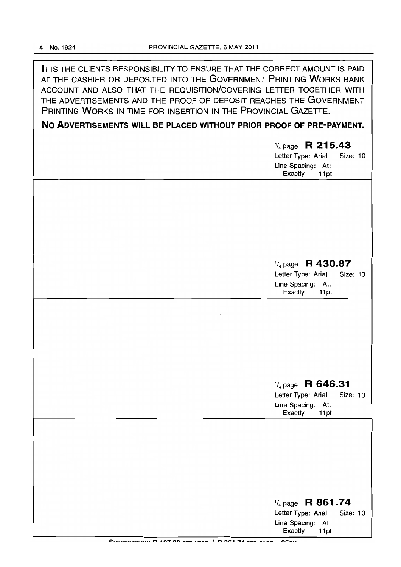IT IS THE CLIENTS RESPONSIBILITY TO ENSURE THAT THE CORRECT AMOUNT IS PAID AT THE CASHIER OR DEPOSITED INTO THE GOVERNMENT PRINTING WORKS BANK ACCOUNT AND ALSO THAT THE REQUISITION/COVERING LETTER TOGETHER WITH THE ADVERTISEMENTS AND THE PROOF OF DEPOSIT REACHES THE GOVERNMENT PRINTING WORKS IN TIME FOR INSERTION IN THE PROVINCIAL GAZETTE.

## **No ADVERTISEMENTS WILL BE PLACED WITHOUT PRIOR PROOF OF PRE-PAYMENT.**

| $\frac{1}{4}$ page R 215.43 |  |  |  |  |  |
|-----------------------------|--|--|--|--|--|
| Letter Type: Arial Size: 10 |  |  |  |  |  |
| Line Spacing: At:           |  |  |  |  |  |
| Exactly 11pt                |  |  |  |  |  |

## *1/4* page **R 430.87**

Letter Type: Arial Size: 10 Line Spacing: At:<br>Exactly 11pt Exactly

## 1/4 page **R 646.31**

Letter Type: Arial Size: 10 Line Spacing: At: Exactly 11 pt

| $\frac{1}{4}$ page R 861.74 |          |
|-----------------------------|----------|
| Letter Type: Arial          | Size: 10 |
| Line Spacing: At:           |          |
| Exactly 11pt                |          |
|                             |          |

 $P_{11}$ pooniesio)); **D** 107 00 nrn vrsn / **D 061 74 nrn nsor = 75ou**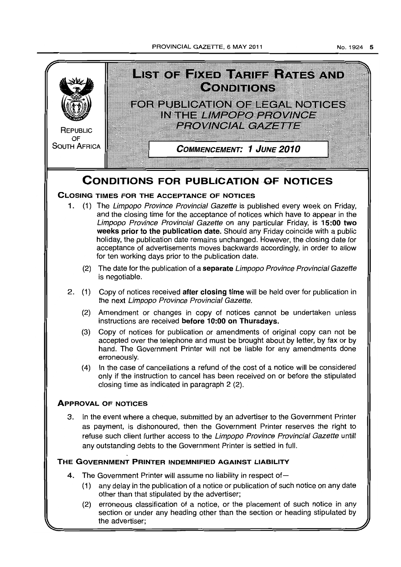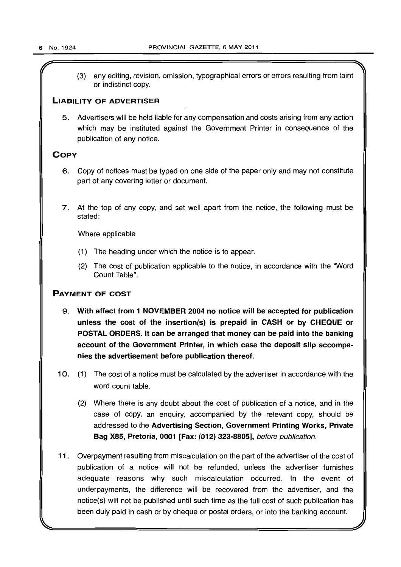(3) any editing, revision, omission, typographical errors or errors resulting from faint or indistinct copy.

## LIABILITY OF ADVERTISER

5. Advertisers will be held liable for any compensation and costs arising from any action which may be instituted against the Government Printer in consequence of the publication of any notice.

## **COPY**

- 6. Copy of notices must be typed on one side of the paper only and may not constitute part of any covering letter or document.
- 7. At the top of any copy, and set well apart from the notice, the following must be stated:

Where applicable

- (1) The heading under which the notice is to appear.
- (2) The cost of publication applicable to the notice, in accordance with the "Word Count Table".

## PAYMENT OF COST

- 9. With effect from 1 NOVEMBER 2004 no notice will be accepted for publication unless the cost of the insertion(s) is prepaid in CASH or by CHEQUE or POSTAL ORDERS. It can be arranged that money can be paid into the banking account of the Government Printer, in which case the deposit slip accompanies the advertisement before publication thereof.
- 10. (1) The cost of a notice must be calculated by the advertiser in accordance with the word count table.
	- (2) Where there is any doubt about the cost of publication of a notice, and in the case of copy, an enquiry, accompanied by the relevant copy, should be addressed to the Advertising Section, Government Printing Works, Private Bag X85, Pretoria, 0001 [Fax: (012) 323-8805], before publication.
- 11 . Overpayment resulting from miscalculation on the part of the advertiser of the cost of publication of a notice will not be refunded, unless the advertiser furnishes adequate reasons why such miscalculation occurred. In the event of underpayments, the difference will be recovered from the advertiser, and the notice(s) will not be published until such time as the full cost of such publication has been duly paid in cash or by cheque or postal orders, or into the banking account.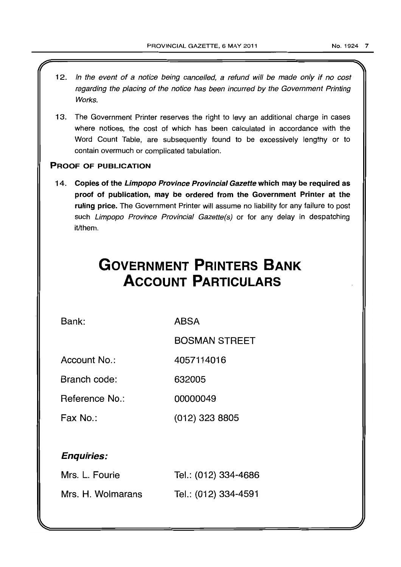- 12. In the event of a notice being cancelled, a refund will be made only if no cost regarding the placing of the notice has been incurred by the Government Printing Works.
- 13. The Government Printer reserves the right to levy an additional charge in cases where notices, the cost of which has been calculated in accordance with the Word Count Table, are subsequently found to be excessively lengthy or to contain overmuch or complicated tabulation.

## PROOF OF PUBLICATION

14. Copies of the Limpopo Province Provincial Gazette which may be required as proof of publication, may be ordered from the Government Printer at the ruling price. The Government Printer will assume no liability for any failure to post such Limpopo Province Provincial Gazette(s) or for any delay in despatching it/them.

## **GOVERNMENT PRINTERS BANK ACCOUNT PARTICULARS**

Bank:

**ABSA** 

BOSMAN STREET

Account No.: 4057114016

Branch code: 632005

Reference No.: 00000049

Fax No.: (012) 323 8805

## Enquiries:

| Mrs. L. Fourie    | Tel.: (012) 334-4686 |
|-------------------|----------------------|
| Mrs. H. Wolmarans | Tel.: (012) 334-4591 |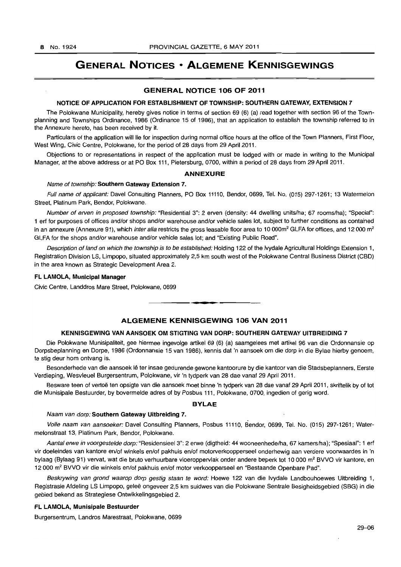## **GENERAL NOTICES • ALGEMENE KENNISGEWINGS**

## GENERAL NOTICE 106 OF 2011

## NOTICE OF APPLICATION FOR ESTABLISHMENT OF TOWNSHIP: SOUTHERN GATEWAY, EXTENSION 7

The Polokwane Municipality, hereby gives notice in terms of section 69 (6) (a) read together with secfion 96 of the Townplanning and Townships Ordinance, 1986 {Ordinance 15 of 1986}, that an application to establish the township referred to in the Annexure hereto, has been received by it.

Particulars of the application will lie for inspection during normal office hours at the office of the Town Planners, First Floor, West Wing, Civic Centre, Polokwane, for the period of 28 days from 29 April 2011.

Objections to or representations in respect of the application must be lodged with or made in writing to the Municipal Manager, at the above address or at PO Box 111, Pietersburg, 0700, within a period of 28 days from 29 April 2011.

## ANNEXURE

## Name of township: Southern Gateway Extension 7.

Full name of applicant: Davel Consulting Planners, PO Box 11110, Bendor, 0699, Tel. No. (015) 297-1261; 13 Watermelon Street, Platinum Park, Bendor, Polokwane.

Number of erven in proposed township: "Residential 3": 2 erven (density: 44 dwelling units/ha; 67 rooms/hal; "Special": 1 ert for purposes of offices and/or shops and/or warehouse and/or vehicle sales lot, subject to further conditions as contained in an annexure (Annexure 91), which inter alia restricts the gross leasable floor area to 10 000m<sup>2</sup> GLFA for offices, and 12 000 m<sup>2</sup> GLFA for the shops and/or warehouse and/or vehicle sales lot; and "Existing Public Road".

Description of land on which the township is to be established: Holding 122 of the Ivydale Agricultural Holdings Extension 1 , Registration Division LS, Limpopo, situated approximately 2,5 km south west of the Polokwane Central Business District (CBD) in the area known as Strategic Development Area 2.

## FL LAMOLA, Municipal Manager

Civic Centre, Landdros Mare Street, Polokwane, 0699

## **ALGEMENE KENNISGEWING 106 VAN 2011**

• **• I** 

## KENNISGEWING VAN AANSOEK OM STIGTING VAN DORP: SOUTHERN GATEWAY UITBREIDING 7

Die Polokwane Munisipaliteit, gee hiermee ingevolge artikel 69 (6) (a) saamgelees met artikel 96 van die Ordonnansie op Dorpsbeplanning en Dorpe, 1986 (Ordonnansie 15 van 1986), kennis dat 'n aansoek om die dorp in die Bylae hierby genoem, te stig deur hom ontvang is.

Besonderhede van die aansoek lê ter insae gedurende gewone kantoorure by die kantoor van die Stadsbeplanners, Eerste Verdieping, Wesvleuel Burgersentrum, Polokwane, vir 'n tydperk van 28 dae vanaf 29 April 2011.

Besware teen of vertoë ten opsigte van die aansoek moet binne 'n tydperk van 28 dae vanaf 29 April 2011, skriftelik by of tot die Munisipale Bestuurder, by bovermelde adres of by Posbus 111, Polokwane, 0700, ingedien of gerig word.

## BYLAE

#### Naam van dorp: Southern Gateway Uitbreiding 7.

Volle naam van aansoeker: Davel Consulting Planners, Posbus 11110, Bendor, 0699, Tel. No. (015) 297-1261; Watermelonstraat 13, Platinum Park, Bendor, Polokwane.

Aantal erwe in voorgestelde dorp: "Residensieel 3": 2 erwe (digtheid: 44 wooneenhede/ha, 67 kamers/ha); "Spesiaal": 1 erf vir doeleindes van kantore en/of winkels en/of pakhuis en/of motorverkoopperseel onderhewig aan verdere voorwaardes in 'n bylaag (Bylaag 91) vervat, wat die bruto verhuurbare vloeroppervlak onder andere beperk tot 10 000 m<sup>2</sup> BVVO vir kantore, en 12 000 m<sup>2</sup> BVVO vir die winkels en/of pakhuis en/of motor verkoopperseel en "Bestaande Openbare Pad".

Beskrywing van grond waarop dorp gestig staan te word: Hoewe 122 van die Ivydale Landbouhoewes Uitbreiding 1, Registrasie Afdeling LS Limpopo, geleë ongeveer 2,5 km suidwes van die Polokwane Sentrale Besigheidsgebied (SBG) in die gebied bekend as Strategiese Ontwikkelingsgebied 2.

## FL LAMOLA, Munisipale Bestuurder

Burgersentrum, Landros Marestraat, Polokwane, 0699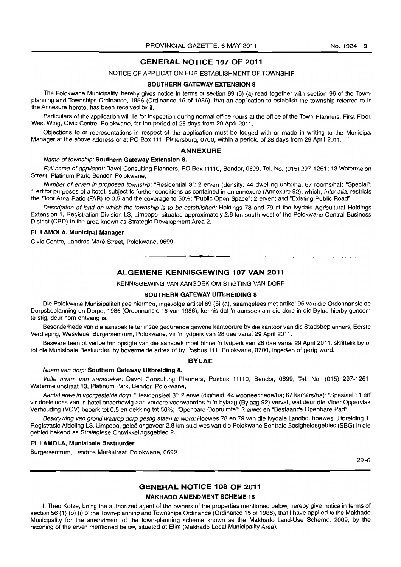## GENERAL NOTICE 107 OF 2011

## NOTICE OF APPLICATION FOR ESTABLISHMENT OF TOWNSHIP

#### SOUTHERN GATEWAY EXTENSION 8

The Polokwane Municipality, hereby gives notice in terms of section 69 (6) (a) read together with section 96 of the Townplanning and Townships Ordinance, 1986 (Ordinance 15 of 1986), that an application to establish the township referred to in the Annexure hereto, has been received by it.

Particulars of the application will lie for inspection during normal office hours at the office of the Town Planners, First Floor, West Wing, Civic Centre, Polokwane, for the period of 28 days from 29 April 2011.

Objections to or representations in respect of the application must be lodged with or made in writing to the Municipal Manager at the above address or at PO Box 111, Pietersburg, 0700, within a periold of 28 days from 29 April 2011. .

## ANNEXURE

## Name of township: Southern Gateway Extension 8.

Full name of applicant: Davel Consulting Planners, PO Box 11110, Bendor, 0699, Tel. No. (015) 297-1261; 13 Watermelon Street, Platinum Park, Bendor, Polokwane, .

Number of erven in proposed township: "Residential 3": 2 erven (density: 44 dwelling units/ha; 67 roomslha); "Special": 1 ert for purposes of a hotel, subject to further conditions as contained in an annexure (Annexure 92), which, inter alia, restricts the Floor Area Ratio (FAR) to 0,5 and the coverage to 50%; "Public Open Space": 2 erven; and "Existing Public Road".

Description of land on which the township is to be established: Holdings 78 and 79 of the Ivydale Agricultural Holdings Extension 1, Registration Division LS, Limpopo, situated approximately 2,8 km south west of the Polokwane Central Business District (CBD) in the area known as Strategic Development Area 2.

#### FL LAMOLA, Municipal Manager

Civic Centre, Landros Mare Street, Polokwane, 0699

## ALGEMENE KENNISGEWING 107 VAN 2011

**-.** 

KENNISGEWING VAN AANSOEK OM STIGTING VAN DORP

#### SOUTHERN GATEWAY UITBREIDING 8

Die Polokwane Munisipaliteit gee hiermee, ingevolge artikel 69 (6) (a), saamgelees met artikel 96 van die Ordonnansie op Dorpsbeplanning en Dorpe, 1986 (Ordonnansie 15 van 1986), kennis dat 'n aansoek om die dorp in die Bylae hierby genoem te stig, deur hom ontvang is.

Besonderhede van die aansoek lê ter insae gedurende gewone kantoorure by die kantoor van die Stadsbeplanners, Eerste Verdieping, Wesvleuel Burgersentrum, Polokwana, vir 'n tydperk van 28 dae vanaf 29 April 2011.

Besware teen of vertoe ten opsigte *van* die aansoek moet binne 'n tydperk van 28 dae vanaf 29 April 2011, skriftelik by of tot die Munisipale Bestuurder, by bovermelde adres of by Posbus 111, Polokwane, 0700, ingedien of gerig word.

## BVLAE

#### Naam van dorp: Southern Gateway Uitbreiding 8.

Volle naam van aansoeker: Davel Consulting Planners, Posbus 11110, Bendor, 0699, Tel. No. (015) 297-1261; Watermelonstraat 13, Platinum Park, Bendor, Polokwane,

Aantal erwe in voorgestelde dorp: "Residensieel 3": 2 erwe (digtheid: 44 wooneenhede/ha; 67 kamers/ha); "Spesiaal": 1 erf vir doeleindes van 'n hotel onderhewig aan verdere voorwaardes in 'n bylaag (Bylaag 92) vervat, wat deur die Vloer Oppervlak Verhouding (VOV) beperk tot 0,5 en dekking tot 50%; "Openbare Oopruimte": 2 erwe; en "Bestaande Openbare Pad".

Beskrywing van grond waarop dorp gestig staan te word: Hoewes 78 en 79 van die Ivydale Landbouhoewes Uitbreiding 1, Registrasie Afdeling LS, Limpopo, geleë ongeveer 2,8 km suid-wes van die Polokwane Sentrale Besigheidsgebied (SBG) in die gebied bekend as Strategiese Ontwikkelingsgebied 2.

#### FL LAMOLA, Munisipale Bestuurder

Burgersentrum, Landros Maréstraat, Polokwane, 0699

 $29 - 6$ 

## GENERAL NOTICE 108 OF 2011

#### MAKHADO AMENDMENT SCHEME 16

I, Theo Kotze, being the authorized agent of the owners of the properties mentioned below, hereby give notice in terms of section 56 (1) (b) (i) of the Town-planning and Townships Ordinance (Ordinance 15 of 1986), that I have applied to the Makhado Municipality for the amendment of the town-planning scheme known as the Makhado Land-Use Scheme, 2009, by the rezoning of the erven mentioned below, situated at Elim (Makhado Local Municipality Area).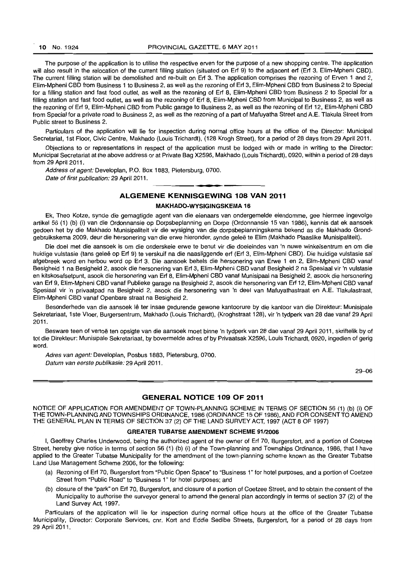The purpose of the application is to utilise the respective erven for the purpose of a new shopping centre. The application will also result in the relocation of the current filling station (situated on Erf 9) to the adjacent erf (Erf 3, Elim-Mpheni CBD). The current filling station will be demolished and re-built on Erf 3. The application comprises the rezoning of Erven 1 and 2, Elim-Mpheni CBD from Business 1 to Business 2, as well as the rezoning of Erf 3, Elim-Mpheni CBD from Business 2 to Special for a filling station and fast food outlet, as well as the rezoning of Erf 8, Elim-Mpheni CBD from Business 2 to Special for a filling station and fast food outlet, as well as the rezoning of Erf 8, Elim-Mpheni CBD from Municipal to Business 2, as well as the rezoning of Erf g, Elim-Mpheni CBD from Public garage to Business 2. as well as the rezoning of Erf 12, Elim-Mpheni CBD from Special for a private road to Business 2, as well as the rezoning of a part of Mafuyatha Street and A.E. Tlakula Street from Public street to Business 2.

Particulars of the application will lie for inspection during normal office hours at the office of the Director: Municipal Secretariat, 1st Floor. Civic Centre, Makhado (Louis Trichardt), (128 Krogh Street), for a period of 28 days from 29 April 2011.

Objections to or representations in respect of the application must be lodged with or made in writing to the Director: Municipal Secretariat at the above address or at Private Bag X2596, Makhado (Louis Trichardt), 0920, within a period of 28 days from 29 April 2011.

Address of agent: Developlan, P.O. Box 1883, Pietersburg, 0700. Date of first publication: 29 April 2011.

## **ALGEMENE KENNISGEWING 108 VAN 2011**

I **• •** 

#### MAKHADO-WYSIGINGSKEMA 16

Ek, Theo Kotze, synde die gemagtigde agent van die eienaars van ondergemelde eiendomme, gee hiermee ingevolge artikel 56 (1) (b) (i) van die Ordonnansie op Dorpsbeplanning en Dorpe (Ordonnansie 15 van 1986), kennis dat ek aansoek gedoen het by die Makhado Munisipaliteit vir die wysiging van die dorpsbeplanningskema bekend as die Makhado Grondgebruikskema 2009, deur die hersonering van die erwe hieronder, synde gelee te Elim (Makhado Plaaslike Munisipaliteit).

Die doel met die aansoek is om die onderskeie erwe te benut vir die doeleindes van 'n nuwe winkelsentrum en om die huidige vutstasie (tans gelee op Erf 9) te verskuif na die naasliggende erf (Erf 3, Elim-Mpheni CBD). Die huidige vulstasie sal afgebreek word en herbou word op Erf 3. Die aansoek behels die hersonering van Erwe 1 en 2, Elim-Mpheni CBD vanaf Besigheid 1 na Besigheid 2, asook die hersonering van Erf 3, Elim-Mpheni CBD vanaf Besigheid 2 na Spesiaal vir 'n vulstasie en kitskosafsetpunt, asook die hersonering van Erf 8, Elim-Mpheni CBD vanaf Munisipaal na Besigheid 2, asook die hersonering van Erf 9, Elim-Mpheni CBD vanaf Publieke garage na Besigheid 2, asook die hersonering van Erf 12, Elim-Mpheni CBD vanaf Spesiaal vir 'n privaatpad na Besigheid 2, asook die hersonering van 'n deel van Mafuyathastraat en A.E. Tlakulastraat, Elim-Mpheni CBD vanaf Openbare straat na Besigheid 2.

Besonderhede van die aansoek lê ter insae gedurende gewone kantoorure by die kantoor van die Direkteur: Munisipale Sekretariaat, 1 ste Vloer, Burgersentrum, Makhado (Louis Trichardt), (Kroghstraat 128), vir 'n tydperk van 28 dae vanaf 29 April 2011.

Besware teen of vertoë ten opsigte van die aansoek moet binne 'n tydperk van 28 dae vanaf 29 April 2011, skriftelik by of tot die Direkteur: Munisipale Sekretariaat, by bovermelde adres of by Privaatsak X2596, Louis Trichardt, 0920, ingedien of gerig word.

Adres van agent: Developlan, Posbus 1883, Pietersburg, 0700. Datum van eerste publikasie: 29 April 2011.

29-06

## **GENERAL NOTICE 109 OF 2011**

NOTICE OF APPLICATION FOR AMENDMENT OF TOWN-PLANNING SCHEME IN TERMS OF SECTION 56 (1) (b) (i) OF THE TOWN-PLANNING AND TOWNSHIPS ORDINANCE, 1986 (ORDINANCE 15 OF 1986), AND FOR CONSENT TO AMEND THE GENERAL PLAN IN TERMS OF SECTION 37 (2) OF THE LAND SURVEY ACT, 1997 (ACT 8 OF 1997)

## GREATER TUBATSE AMENDMENT SCHEME 91/2006

I, Geoffrey Charles Underwood, being the authorized agent of the owner of Erf 70, Burgersfort, and a portion of Coetzee Street, hereby give notice in terms of section 56 (1) (b) (i) of the Town-planning and Townships Ordinance, 1986, that I have applied to the Greater Tubatse Municipality for the amendment of the town-planning scheme known as the Greater Tubatse Land Use Management Scheme 2006, for the following:

- (a) Rezoning of Erf 70, Burgersfort from "Public Open Space" to "Business 1" for hotel purposes, and a portion of Coetzee Street from "Public Road" to "Business 1" for hotel purposes; and
- (b) closure of the "park" on Erf 70, Burgersfort. and closure of a portion of Coetzee Street, and to obtain the consent of the Municipality to authorise the surveyor general to amend the general plan accordingly in terms of section 37 (2) of the Land Survey Act, 1997.

Particulars of the application will lie for inspection during normal office hours at the office of the Greater Tubatse Municipality, Director: Corporate Services, cnr. Kort and Eddie Sedibe Streets, Burgersfort, for a period of 28 days from 29 April 2011.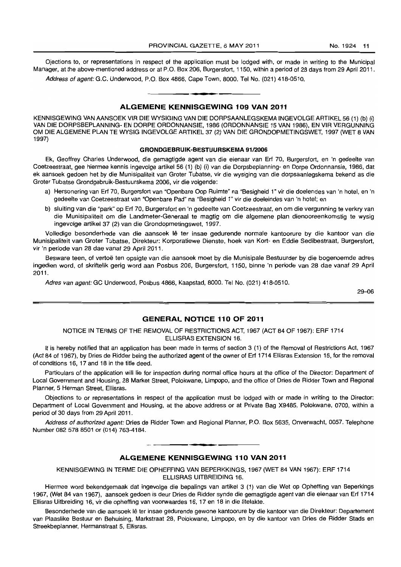Ojections to, or representations in respect of the application must be lodged with, or made in writing to the Municipal Manager, at the above-mentioned address or at P.O. Box 206, Burgersfort, 1150, within a period of 28 days from 29 April 2011.

Address of agent: G.C. Underwood, P.O. Box 4866, Cape Town, 8000. Tel No. (021) 418-0510.

## • **• I ALGEMENE KENNISGEWING 109 VAN 2011**

KENNISGEWING VAN AANSOEK VIR DIE WYSIGING VAN DIE DORPSAANLEGSKEMA INGEVOLGE ARTIKEL 56 (1) (b) (i) VAN DIE DORPSBEPLANNING- EN DORPE ORDONNANSIE, 1986 (ORDONNANSIE 15 VAN 1986), EN VIR VERGUNNING OM DIE ALGEMENE PLAN TE WYSIG INGEVOLGE ARTIKEL 37 (2) VAN DIE GRONDOPMETINGSWET, 1997 (WET 8 VAN 1997)

## **GRONDGEBRUIK-BESTUURSKEMA 9112006**

Ek, Geoffrey Charles Underwood, die gemagtigde agent van die eienaar van Erf 70, Burgersfort, en 'n gedeelte van Coetzeestraat, gee hiermee kennis ingevolge artikel 56 (1) (b) (i) van die Dorpsbeplanning- en Dorpe Ordonnansie, 1986, dat ek aansoek gedoen het by die Munisipaliteit van Groter Tubatse, vir die wysiging van die dorpsaanlegskema bekend as die Groter Tubatse Grondgebruik-Bestuurskema 2006, vir die volgende:

- a) Hersonering van Erf 70, Burgersfort van "Openbare Oop Ruimte" na "Besigheid 1" vir die doelendes van 'n hotel, en 'n gedeelte van Coetzeestraat van "Openbare Pad" na "Besigheid 1" vir die doeleindes van 'n hotel; en
- b) sluiting van die "park" op Erf 70, Burgersfort en 'n gedeelte van Coetzeestraat, en om die vergunning te verkry van die Munisipaliteit om die Landmeter-Generaal te magtig om die algemene plan dienooreenkomstig te wysig ingevolge artikel 37 (2) van die Grondopmetingswet, 1997.

Volledige besonderhede van die aansoek Iê ter insae gedurende normale kantoorure by die kantoor van die Munisipaliteit van Groter Tubatse, Direkteur: Korporatiewe Dienste, hoek van Kort- en Eddie Sedibestraat, Burgersfort, vir 'n periode van 28 dae vanaf 29 April 2011.

Besware teen, of vertoë ten opsigte van die aansoek moet by die Munisipale Bestuurder by die bogenoemde adres ingedien word, of skriftelik gerig word aan Posbus 206, Burgersfort, 1150, binne 'n periode van 28 dae vanaf 29 April 2011.

Adres van agent:GC Underwood, Posbus 4866, Kaapstad, 8000. Tel No. (021) 418-0510.

29-06

## **GENERAL NOTICE 110 OF 2011**

NOTICE IN TERMS OF THE REMOVAL OF RESTRICTIONS ACT, 1967 (ACT 84 OF 1967): ERF 1714 ELLISRAS EXTENSION 16.

It is hereby notified that an application has been made in terms of section 3 (1) of the Removal of Restrictions Act, 1967 (Act 84 of 1967), by Dries de Ridder being the authorized agent of the owner of Erf 1714 Ellisras Extension 16, for the removal of conditions 16, 17 and 18 in the title deed.

Particulars of the application will lie for inspection during normal office hours at the office of the Director: Department of Local Government and Housing, 28 Market Street, Polokwane, Limpopo, and the office of Dries de Ridder Town and Regional Planner, 5 Herman Street, Ellisras.

Objections to or representations in respect of the application must be lodged with or made in writing to the Director: Department of Local Government and Housing, at the above address or at Private Bag X9485, Polokwane, 0700, within a period of 30 days from 29 April 2011.

Address of authorized agent: Dries de Ridder Town and Regional Planner, P.O. Box 5635, Onverwacht, 0057. Telephone Number 0825788501 or (014) 763-4184.

## **ALGEMENE KENNISGEWING 110 VAN 2011**

KENNISGEWING IN TERME DIE OPHEFFING VAN BEPERKKINGS, 1967 (WET 84 VAN 1967): ERF 1714 ELLISRAS UITBREIDING 16.

Hiermee word bekendgemaak dat ingevolge die bepalings van artikel 3 (1) van die Wet op Opheffing van Beperkings 1967, (Wet 84 van 1967), aansoek gedoen is deur Dries de Ridder synde die gemagtigde agent van die eienaar van Erf 1714 Ellisras Uitbreiding 16, vir die opheffing van voorwaardes 16, 17 en 18 in die titelakte.

Besonderhede van die aansoek lê ter insae gedurende gewone kantoorure by die kantoor van die Direkteur: Departement van Plaaslike Bestuur en Behuising, Markstraat 28, Polokwane, Limpopo, en by die kantoor van Dries de Ridder Slads en Streekbeplanner, Hermanstraat 5, Ellisras.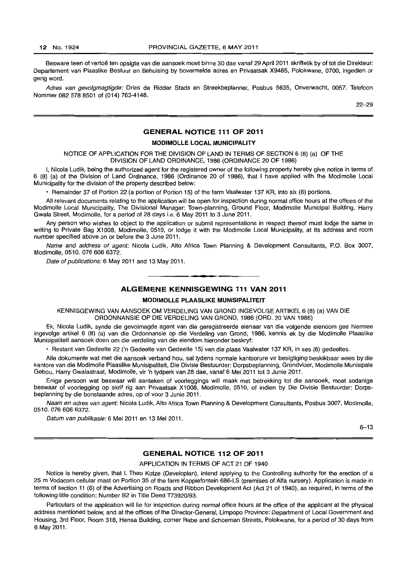Besware teen of vertoë ten opsigte van die aansoek moet binne 30 dae vanaf 29 April 2011 skriftelik by of tot die Direkteur: Departement van Plaaslike Bestuur en Behuising by bovermelde adres en Privaatsak X9485, Polokwane, 0700, ingedien or gerig word.

Adres van gevolgmagtigde: Dries de Ridder Stads en Streekbeplanner, Posbus 5635, Onverwacht, 0057. Telefoon Nommer 0825788501 of (014) 763-4148.

22-29

## **GENERAL NOTICE 111 OF 2011**

#### **MODIMOLLE LOCAL MUNICIPALITY**

NOTICE OF APPLICATION FOR THE DIVISION OF LAND IN TERMS OF SECTION 6 (8) (a) OF THE DIVISION OF LAND ORDINANCE, 1986 (ORDINANCE 20 OF 1986)

I, Nicola Ludik, being the authorized agent for the registered owner of the following property hereby give notice in terms of 6 (8) (a) of the Division of Land Ordinance, 1986 (Ordinance 20 of 1986), that I have applied with the Modimolle Local Municipality for the division of the property described below:

• Remainder 37 of Portion 22 (a portion of Portion 15) of the farm Vaalwater 137 KR, into six (6) portions.

All relevant documents relating to the application will be open for inspection during normal office hours at the offices of the Modimolle Local Municipality, The Divisional Manager: Town-planning, Ground Floor, Modimolle Municipal Building, Harry Gwala Street, Modimolle, for a period of 28 days i.e. 6 May 2011 to 3 June 2011.

Any person who wishes to object to the application or submit representations in respect thereof must lodge the same in writing to Private Bag X1008, Modimolle, 0510, or lodge it with the Modimolle Local Municipality, at its address and room number specified above on or before the 3 June 2011.

Name and address of agent: Nicola Ludik, Alto Africa Town Planning & Development Consultants, P.O. Box 3007, Modimolle, 0510. 076 606 6372.

Date of publications: 6 May 2011 and 13 May 2011.

## **ALGEMENE KENNISGEWING 111 VAN 2011**

**• •** 

#### **MODIMOLLE PLAASLIKE MUNISIPALITEIT**

KENNISGEWING VAN AANSOEK OM VERDELING VAN GROND INGEVOLGE ARTIKEL 6 (8) (a) VAN DIE ORDONNANSIE OP DIE VERDELING VAN GROND, 1986 (ORD. 20 VAN 1986)

Ek, Nicola Ludik, synde die gevolmagde agent van die geregistreerde eienaar van die volgende eiendom gee hiermee ingevolge artikel 6 (8) (a) van die Ordonnansie op die Verdeling van Grond, 1986, kennis ek by die Modimolle Plaaslike Munisipaliteit aansoek doen am die verdeling van die eiendom hieronder beskryf:

• Restant van Gedeelte 22 ('n Gedeelte van Gedeelte 15) van die plaas Vaalwater 137 KR, in ses (6) gedeeltes.

Aile dokumente wat met die aansoek verband hou, sal tydens normale kantoorure vir besigtiging beskikbaar wees by die kantore van die Modimolle Plaaslike Munisipaliteit, Die Divisie Bestuurder: Dorpsbeplanning, Grondvloer, Modimolle Munisipale Gebou, Harry Gwalastraat, Modimolle, vir 'n tydperk van 28 dae, vanaf 6 Mei 2011 tot 3 Junie 2011.

Enige persoon wat beswaar will aanteken of voorleggings will maak met betrekking tot die aansoek, moet sodanige beswaar of voorlegging op skrif rig aan Privaatsak X1008, Modimolle, 0510, of indien by Die Divisie Bestuurder: Dorpsbeplanning by die bonstaande adres, op of voor 3 Junie 2011.

Naam en adres van agent: Nicola Ludik, Alto Africa Town Planning & Development Consultants, Posbus 3007, Modimolle, 0510.0766066372.

Datum van publikasie: 6 Mei 2011 en 13 Mei 2011.

6-13

## **GENERAL NOTICE 112 OF 2011**

## APPLICATION IN TERMS OF ACT 21 OF 1940

Notice is hereby given, that I, Theo Kotze (Developlan), intend applying to the Controlling authority for the erection of a 25 m Vodacom cellular mast on Portion 35 of the farm Koppiefontein 686-LS (premises of Alta nursery). Application is made in terms of section 11 (6) of the Advertising on Roads and Ribbon Development Act (Act 21 of 1940), as required, in terms of the following title condition: Number B2 in Title Deed T73920/93.

Particulars of the application will lie for inspection during normal office hours at the office of the applicant at the physical address mentioned below, and at the offices of the Director-General, Limpopo Province: Department of Local Government and Housing, 3rd Floor, Room 318, Hensa Building, corner Rabe and Schoeman Streets, Polokwane, for a period of 30 days from 6 May 2011.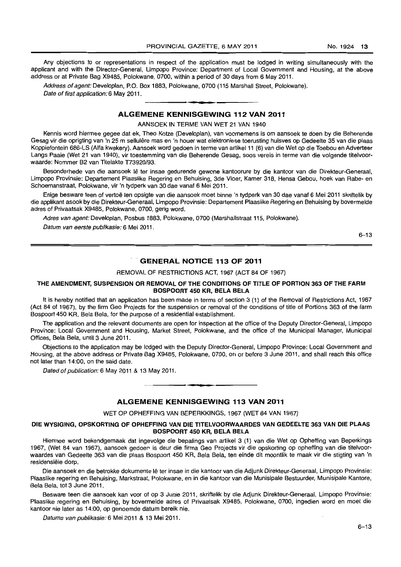Any objections to or representations in respect of the application must be lodged in writing simultaneously with the applicant and with the Director-General, Limpopo Province: Department of Local Government and Housing, at the above address or at Private Bag X9485, Polokwane, 0700, within a period of 30 days from 6 May 2011.

Address of agent: Developlan, P.O. Box 1883, Polokwane, 0700 (115 Marshall Street, Polokwane). Date of first application: 6 May 2011.

## **ALGEMENE KENNISGEWING 112 VAN 2011**

AANSOEK IN TERME VAN WET 21 VAN 1940

Kennis word hiermee gegee dat ek, Theo Kotze (Developlan), van voornemens is om aansoek te doen by die Beherende Gesag vir die oprigting van 'n 25 m sellulêre mas en 'n houer wat elektroniese toerusting huisves op Gedeelte 35 van die plaas Koppiefontein 686-LS (Alfa kwekery). Aansoek word gedoen in terme van artikel11 (6) van die Wet op die Toebou en Adverteer Langs Paaie (Wet 21 van 1940), vir toestemming van die Beherende Gesag, soos vereis in terme van die volgende titelvoorwaarde: Nommer B2 van Titelakte T73920/93.

Besonderhede van die aansoek lê ter insae gedurende gewone kantoorure by die kantoor van die Direkteur-Generaal, Limpopo Provinsie: Departement Plaaslike Regering en Behuising, 3de Vloer, Kamer 318, Hensa Gebou, hoek van Rabe- en Schoemanstraat, Polokwane, vir 'n tydperk van 30 dae vanaf 6 Mei 2011.

Enige besware teen of vertoë ten opsigte van die aansoek moet binne 'n tydperk van 30 dae vanaf 6 Mei 2011 skriftelik by die applikant asook by die Direkteur-Generaal, Limpopo Provinsie: Departement Plaaslike Regering en Behuising by bovermelde adres of Privaatsak X9485, Polokwane, 0700, gerig word.

Adres van agent: Developlan, Posbus 1883, Polokwane, 0700 (Marshallstraat 115, Polokwane).

Datum van eerste publikasie: 6 Mei 2011.

6-13

## **GENERAL NOTICE 113 OF 2011**

REMOVAL OF RESTRICTIONS ACT, 1967 (ACT 84 OF 1967)

## **THE AMENDMENT, SUSPENSION OR REMOVAL OF THE CONDITIONS OF TITLE OF PORTION 363 OF THE FARM BOSPOORT 450 KR, BELA BELA**

It is hereby notified that an application has been made in terms of section 3 (1) of the Removal of Restrictions Act, 1967 (Act 84 of 1967), by the firm Geo Projects for the suspension or removal of the conditions of title of Portions 363 of the farm Bospoort 450 KR, Bela Bela, for the purpose of a residential establishment.

The application and the relevant documents are open for inspection at the office of the Deputy Director-General, Limpopo Province: Local Government and Housing, Market Street, Polokwane, and the office of the Municipal Manager, Municipal Offices, Bela Bela, until 3 June 2011.

Objections to the application may be lodged with the Deputy Director-General, Limpopo Province: Local Government and Housing, at the above address or Private Bag X9485, Polokwane, 0700, on or before 3 June 2011, and shall reach this office not later than 14:00, on the said date.

Dated of publication: 6 May 2011 & 13 May 2011.

## **ALGEMENE KENNISGEWING 113 VAN 2011**

. **- .** 

WET OP OPHEFFING VAN BEPERKKINGS, 1967 (WET 84 VAN 1967)

## **DIE WYSIGING, OPSKORTING OF OPHEFFING VAN DIE TITELVOORWAARDES VAN GEDEELTE 363 VAN DIE PLAAS BOSPOORT 450 KR, BELA BELA**

Hiermee word bekendgemaak dat ingevolge die bepalings van artikel 3 (1) van die Wet op Opheffing van Beperkings 1967, (Wet 84 van 1967), aansoek gedoer' is deur die firma Geo Projects vir die opskorting op opheffing van die titelvoorwaardes van Gedeelte 363 van die plaas Bospoort 450 KR, Bela Bela, ten einde dit moontlik te maak vir die stigting van 'n residensiële dorp.

Die aansoek en die betrokke dokumente Ie ter insae in die kantoor van die Adjunk Direkteur-Generaal, Limpopo Provinsie: Plaaslike regering en Behuising, Markstraat, Polokwane, en in die kantoor van die Munisipale Bestuurder, Munisipale Kantore, Bela Bela, tot 3 June 2011.

Besware teen die aansoek kan voor of op 3 Junie 2011, skriftelik by die Adjunk Direkteur-Generaal, Limpopo Provinsie: Plaaslike regering en Behuising, by bovermelde adres of Privaatsak X9485, Polokwane, 0700, ingedien word en moet die kantoor nie later as 14:00, op genoemde datum bereik nie.

Datums van publikasie: 6 Mei 2011 & 13 Mei 2011.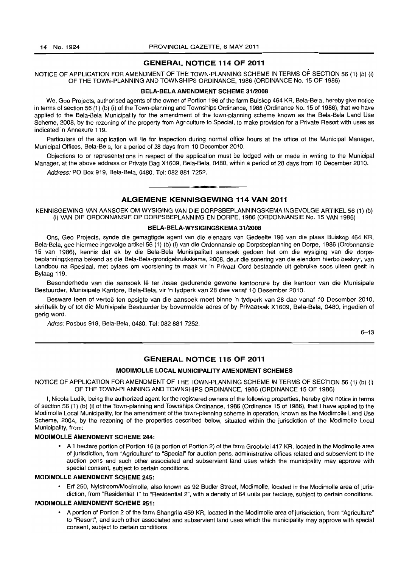## GENERAL NOTICE 114 OF 2011

## NOTICE OF APPLICATION FOR AMENDMENT OF THE TOWN-PLANNING SCHEME IN TERMS OF SECTION 56 (1) (b) (i) OF THE TOWN-PLANNING AND TOWNSHIPS ORDINANCE, 1986 (ORDINANCE No. 15 OF 1986)

#### BELA-BELA AMENDMENT SCHEME 31/2008

We, Geo Projects, authorised agents of the owner of Portion 196 of the farm Buiskop 464 KR, Bela-Bela, hereby give notice in terms of section 56 (1) (b) (i) of the Town-planning and Townships Ordinance, 1986 (Ordinance No. 15 of 1986), that we have applied to the Bela-Bela Municipality for the amendment of the town-planning scheme known as the Bela-Bela Land Use Scheme, 2008, by the rezoning of the property from Agriculture to Special, to make provision for a Private Resort with uses as indicated in Annexure 119.

Particulars of the application will lie for inspection during normal office hours at the office of the Municipal Manager, Municipal Offices, Bela-Bela, for a period of 28 days from 10 December 2010.

Objections to or representations in respect of the application must be lodged with or made in writing to the Municipal Manager, at the above address or Private Bag X1609, Bela-Bela, 0480, within a period of 28 days from 10 December 2010.

Address: PO Box 919, Bela-Bela, 0480. Tel: 082 881 7252.

## ALGEMENE KENNISGEWING 114 VAN 2011

**• •** 

KENNISGEWING VAN AANSOEK OM WYSIGING VAN DIE DORPSBEPLANNINGSKEMA INGEVOLGE ARTIKEL 56 (1) (b) (i) VAN DIE ORDONNANSIE OP DORPSBEPLANNING EN DORPE, 1986 (ORDONNANSIE No. 15 VAN 1986)

## BELA-BELA-WYSIGINGSKEMA 31/2008

Ons, Geo Projects, synde die gemagtigde agent van die eienaars van Gedeelte 196 van die plaas Buiskop 464 KR, Bela-Bela, gee hiermee ingevolge artikel 56 (1) (b) (i) van die Ordonnansie op Dorpsbeplanning en Dorpe, 1986 (Ordonnansie 15 van 1986), kennis dat ek by die Bela-Bela Munisipaliteit aansoek gedoen het om die wysiging van die dorpsbeplanningskema bekend as die Bela-Beia-grondgebruikskema, 2008, deur die sonering van die eiendom hierbo beskryf, van Landbou na Spesiaal, met bylaes om voorsiening te maak vir 'n Privaat Oord bestaande uit gebruike soos uiteen gesit in Bylaag 119.

Besonderhede van die aansoek lê ter insae gedurende gewone kantoorure by die kantoor van die Munisipale Bestuurder, Munisipale Kantore, Bela-Bela, vir 'n tydperk van 28 dae vanaf 10 Desember 2010.

Besware teen of vertoë ten opsigte van die aansoek moet binne 'n tydperk van 28 dae vanaf 10 Desember 2010, skriftelik by of tot die Munisipale Bestuurder by bovermelde adres of by Privaatsak X1609, Bela-Bela, 0480, ingedien of gerig word.

Adres: Posbus 919, Bela-Bela, 0480. Tel: 082 881 7252.

 $6 - 13$ 

## GENERAL NOTICE 115 OF 2011

#### MODIMOLLE LOCAL MUNICIPALITY AMENDMENT SCHEMES

NOTICE OF APPLICATION FOR AMENDMENT OF THE TOWN·PLANNING SCHEME IN TERMS OF SECTION 56 (1) (b) (i) OF THE TOWN-PLANNING AND TOWNSHIPS ORDINANCE, 1986 (ORDINANCE 15 OF 1986)

I, Nicola Ludik, being the authorized agent for the registered owners of the following properties, hereby give notice in terms of section 56 (1) (b) (i) of the Town-planning and Townships Ordinance, 1986 (Ordinance 15 of 1986), that I have applied to the Modimolle Local Municipality, for the amendment of the town-planning scheme in operation, known as the Modimolle Land Use Scheme, 2004, by the rezoning of the properties described below, situated within the jurisdiction of the Modimolle Local Municipality, from:

#### MODIMOLLE AMENDMENT SCHEME 244:

• A 1 hectare portion of Portion 16 (a portion of Portion 2) of the farm Grootvlei 417 KR, located in the Modimolle area of jurisdiction, from "Agriculture" to "Special" for auction pens, administrative offices related and subservient to the auction pens and such other associated and subservient land uses which the municipality may approve with special consent, subject to certain conditions.

## MODIMOLLE AMENDMENT SCHEME 245:

• Erf 250, Nylstroom/Modimolle, also known as 92 Budler Street, Modimolle, located in the Modimolle area of jurisdiction, from "Residential 1" to "Residential 2", with a density of 64 units per hectare, subject to certain conditions.

## **MODIMOLLE AMENDMENT SCHEME 251:**

• A portion of Portion 2 of the farm Shangrila 459 KR, located in the Modimolle area of jurisdiction, from "Agriculture" to "Resort", and such other associated and subservient land uses which the municipality may approve with special consent, subject to certain conditions.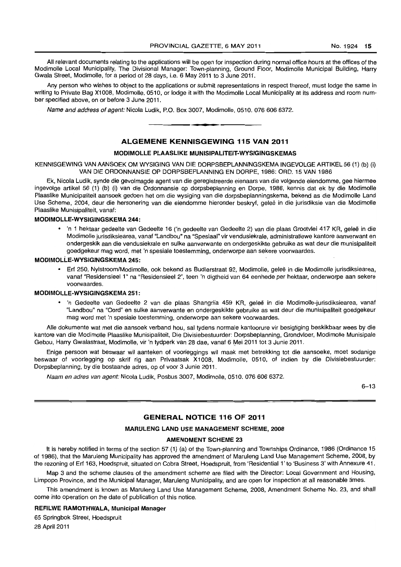All relevant documents relating to the applications will be open for inspection during normal office hours at the offices of the Modimolle Local Municipality, The Divisional Manager: Town-planning, Ground Floor, Modimolle Municipal Building, Harry Gwala Street, Modimolle, for a period of 28 days, i.e. 6 May 2011 to 3 June 2011.

Any person who wishes to object to the applications or submit representations in respect thereof, must lodge the same in writing to Private Bag X1008, Modimolle, 0510, or lodge it with the Modimolle Local Municipality at its address and room number specified above, on or before 3 June 2011.

Name and address of agent: Nicola Ludik, P.O. Box 3007, Modimolle, 0510. 0766066372 . . **-.** 

## ALGEMENE KENNISGEWING 115 VAN 2011

## MODIMOLLE PLAASLIKE MUNISIPALITEIT-WYSIGINGSKEMAS

KENNISGEWING VAN AANSOEK OM WYSIGING VAN DIE DORPSBEPLANNINGSKEMA INGEVOLGE ARTIKEL 56 (1) (b) (i) VAN DIE ORDONNANSIE OP DORPSBEPLANNING EN DORPE, 1986: ORD. 15 VAN 1986

Ek, Nicola Ludik, synde die gevolmagde agent van die geregistreerde eienaars van die volgende eiendomme, gee hiermee ingevolge artikel 56 (1) (b) (i) van die Ordonnansie op dorpsbeplanning en Dorpe, 1986, kennis dat ek by die Modimolle Plaaslike Municipaliteit aansoek gedoen het om die wysiging van die dorpsbeplanningskema, bekend as die Modimolle Land Use Scheme, 2004, deur die hersonering van die eiendomme hieronder beskryf, gelee in die jurisdiksie van die Modimolle Plaaslike Munisipaliteit, vanaf:

## MODIMOLLE-WYSIGINGSKEMA 244:

• 'n 1 hektaar gedeelte van Gedeelte 16 ('n gedeelte van Gedeelte 2) van die plaas Grootvlei 417 KR, geleë in die Modimolle jurisdiksiearea, vanaf "Landbou" na "Spesiaal" vir vendusiekrale, administratiewe kantore aanverwant en ondergeskik aan die vendusiekrale en sulke aanverwante en ondergeskikte gebruike as wat deur die munisipaliteit goedgekeur mag word, met 'n spesiale toestemming, onderworpe aan sekere voorwaardes.

## MODIMOLLE-WYSIGINGSKEMA 245:

• Erf 250, Nylstroom/Modimolle, ook bekend as Budlerstraat 92, Modimolle, gelee in die Modimolle jurisdiksiearea, vanaf "Residensieel 1" na "Residensieel 2", teen 'n digtheid van 64 eenhede per hektaar, onderworpe aan sekere voorwaardes.

## MODIMOLLE-WYSIGINGSKEMA 251 :

• 'n Gedeelte van Gedeelte 2 van die plaas Shangrila 459 KR, gelee in die Modimolle-jurisdiksiearea, vanaf "Landbou" na "Oord" en sulke aanverwante en ondergeskikte gebruike as wat deur die munisipaliteit goedgekeur mag word met 'n spesiale toestemming, onderworpe aan sekere voorwaardes.

Aile dokumente wat met die aansoek verband hou, sal tydens normale kantoorure vir besigtiging beskikbaar wees by die kantore van die Modimolle Plaaslike Munisipaliteit, Die Divisiebestuurder: Dorpsbeplanning, Grondvloer, Modimolle Munisipale Gebou, Harry Gwalastraat, Modimolle, vir 'n tydperk van 28 dae, vanaf 6 Mei 2011 tot 3 Junie 2011.

Enige persoon wat beswaar wi! aanteken of voorleggings wit maak met betrekking tot die aansoeke, moet sodanige beswaar of voorlegging op skrif rig aan Privaatsak X1008, Modimolle, 0510, of indien by die Divisiebestuurder: Dorpsbeplanning, by die bostaande adres, op of voor 3 Junie 2011.

Naam en adres van agent: Nicola Ludik, Posbus 3007, Modimolle, 0510. 076 606 6372.

6-13

## GENERAL NOTICE 116 OF 2011

#### MARULENG LAND USE MANAGEMENT SCHEME, 2008

#### AMENDMENT SCHEME 23

It is hereby notified in terms of the section 57 (1) (a) of the Town-planning and Townships Ordinance, 1986 (Ordinance 15 of 1986), that the Maruleng Municipality has approved the amendment of Maruleng Land Use Management Scheme, 2008, by the rezoning of Erf 163, Hoedspruit, situated on Cobra Street, Hoedspruit, from 'Residential l' to 'Business 3' with Annexure 41.

Map 3 and the scheme clauses of the amendment scheme are filed with the Director: Local Government and Housing, Limpopo Province, and the Municipal Manager, Maruleng Municipality, and are open for inspection at all reasonable times.

This amendment is known as Maruleng Land Use Management Scheme, 2008, Amendment Scheme No. 23, and shall come into operation on the date of publication of this notice.

## REFILWE RAMOTHWALA, Municipal Manager

65 Springbok Street, Hoedspruit

28 April 2011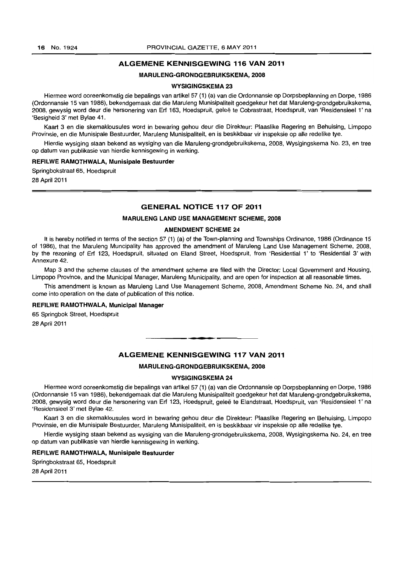## ALGEMENE KENNISGEWING 116 VAN 2011

## MARULENG-GRONDGEBRUIKSKEMA,2008

#### WYSIGINGSKEMA 23

Hiermee word ooreenkomstig die bepalings van artikel 57 (1) (a) van die Ordonnansie op Dorpsbeplanning en Dorpe, 1986 (Ordonnansie 15 van 1986), bekendgemaak dat die Maruleng Munisipaliteit goedgekeur het dat Maruleng-grondgebruikskema, 2008, gewysig word deur die hersonering van Erf 163, Hoedspruit, gelee te Cobrastraat, Hoedspruit, van 'Residensieel l' na 'Besigheid 3' met Bylae 41.

Kaart 3 en die skemaklousules word in bewaring gehou deur die Direkteur: Plaaslike Regering en Behuising, Limpopo Provinsie, en die Munisipale Bestuurder, Maruleng Munisipaliteit, en is beskikbaar vir inspeksie op aile redelike tye.

Hierdie wysiging staan bekend as wysiging van die Maruleng-grondgebruikskema, 2008, Wysigingskema No. 23, en tree op datum van publikasie van hierdie kennisgewing in werking.

#### REFILWE RAMOTHWALA, Munisipale Bestuurder

Springbokstraat 65, Hoedspruit 28 April 2011

## GENERAL NOTICE 117 OF 2011

#### MARULENG LAND USE MANAGEMENT SCHEME, 2008

#### AMENDMENT SCHEME 24

It is hereby notified in terms of the section 57 (1) (a) of the Town-planning and Townships Ordinance, 1986 (Ordinance 15 of 1986), that the Maruleng Muncipality has approved the amendment of Maruleng Land Use Management Scheme, 2008, by the rezoning of Erf 123, Hoedspruit, situated on Eland Street, Hoedspruit, from 'Residential l' to 'Residential 3' with Annexure 42.

Map 3 and the scheme clauses of the amendment scheme are filed with the Director: Local Government and Housing, Limpopo Province, and the Municipal Manager, Maruleng Municipality, and are open for inspection at all reasonable times.

This amendment is known as Maruleng Land Use Management Scheme, 2008, Amendment Scheme No. 24, and shall come into operation on the date of publication of this notice.

## REFILWE RAMOTHWALA, Municipal Manager

65 Springbok Street, Hoedspruit

28 April 2011

## **ALGEMENE KENNISGEWING 117 VAN 2011**

• **\_ 1** 

#### MARULENG-GRONDGEBRUIKSKEMA, 2008

## WVSIGINGSKEMA 24

Hiermee word ooreenkomstig die bepalings van artikel57 (1) (a) van die Ordonnansie op Dorpsbeplanning en Dorpe, 1986 (Ordonnansie 15 van 1986), bekendgemaak dat die Maruleng Munisipaliteit goedgekeur het dat Maruleng-grondgebruikskema, 2008, gewysig word deur die hersonering van Erf 123, Hoedspruit, geleë te Elandstraat, Hoedspruit, van 'Residensieel 1' na 'Residensieel 3' met Bylae 42.

Kaart 3 en die skemaklousules word in bewaring gehou deur die Direkteur: Plaaslike Regering en Behuising, Limpopo Provinsie, en die Munisipale Bestuurder, Maruleng Munisipaliteit, en is beskikbaar vir inspeksie op aile redelike tye.

Hierdie wysiging staan bekend as wysiging van die Maruleng-grondgebruikskema, 2008, Wysigingskema No. 24, en tree op datum van publikasie van hierdie kennisgewing in werking.

## REFILWE RAMOTHWALA, Munisipale Bestuurder

Springbokstraat 65, Hoedspruit 28 April 2011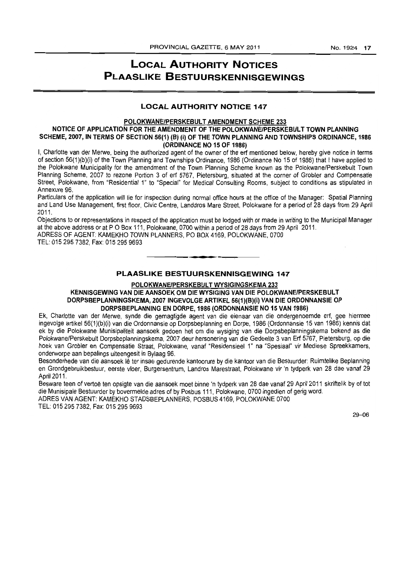## LOCAL AUTHORITY NOTICES PLAASLIKE BESTUURSKENNISGEWINGS

## LOCAL AUTHORITY NOTICE 147

## POLOKWANE/PERSKEBULT AMENDMENT SCHEME 233

## NOTICE OF APPLICATION FOR THE AMENDMENT OF THE POLOKWANE/PERSKEBULT TOWN PLANNING SCHEME, 2007, IN TERMS OF SECTION 56(1) (B) (i) OF THE TOWN PLANNING AND TOWNSHIPS ORDINANCE, 1986 (ORDINANCE NO 15 OF 1986)

I, Charlotte van der Merwe, being the authorized agent of the owner of the erf mentioned below, hereby give notice in terms of section 56(1)(b)(i) of the Town Planning and Townships Ordinance, 1986 (Ordinance No 15 of 1986) that I have applied to the Polokwane Municipality for the amendment of the Town Planning Scheme known as the Polokwane/Perskebult Town Planning Scheme, 2007 to rezone Portion 3 of erf 5767, Pietersburg, situated at the corner of Grobler and Compensatie Street, Polokwane, from "Residential 1" to "Special" for Medical Consulting Rooms, subject to conditions as stipulated in Annexure 96.

Particulars of the application will lie for inspection during normal office hours at the office of the Manager: Spatial Planning and Land Use Management, first floor, Civic Centre, Landdros Mare Street, Polokwane for a period of 28 days from 29 April 2011.

Objections to or representations in respect of the application must be lodged with or made in writing to the Municipal Manager at the above address or at POBox 111, Polokwane, 0700 within a period of 28 days from 29 April 2011. ADRESS OF AGENT: KAMEKHO TOWN PLANNERS, PO BOX 4169, POLOKWANE, 0700

TEL: 015 295 7382, Fax: 0152959693

## PLAASLIKE BESTUURSKENNISGEWING 147

**. -**

## POLOKWANE/PERSKEBULT WYSIGINGSKEMA 233

## KENNISGEWING VAN DIE AANSOEK OM DIE WYSIGING VAN DIE POLOKWANE/PERSKEBULT DORPSBEPLANNINGSKEMA, 2007 INGEVOLGE ARTIKEL 56(1)(B)(i) VAN DIE ORDONNANSIE OP DORPSBEPLANNING EN DORPE, 1986 (ORDONNANSIE NO 15 VAN 1986)

Ek, Charlotte van der Merwe, synde die gemagtigde agent van die eienaar van die ondergenoemde erf, gee hiermee ingevolge artikel 56(1)(b)(i) van die Ordonnansie op Dorpsbeplanning en Dorpe, 1986 (Ordonnansie 15 van 1986) kennis dat ek by die Polokwane Munisipaliteit aansoek gedoen het om die wysiging van die Dorpsbeplanningskema bekend as die Polokwane/Perskebult Dorpsbeplanningskema, 2007 deur hersonering van die Gedeelte 3 van Erf 5767, Pietersburg, op die hoek van Grobler en Compensatie Straat, Polokwane, vanaf "Residensieel 1" na "Spesiaal" vir Mediese Spreekkamers, onderworpe aan bepalings uiteengesit in Bylaag 96.

Besonderhede van die aansoek lê ter insae gedurende kantoorure by die kantoor van die Bestuurder: Ruimtelike Beplanning en Grondgebruikbestuur, eerste vloer, Burgersentrum, Landros Marestraat, Polokwane vir 'n tydperk van 28 dae vanaf 29 April 2011.

Besware teen of vertoe ten opsigte van die aansoek moet binne 'n tydperk van 28 dae vanaf 29 April 2011 skriftelik by of tot die Munisipale Bestuurder by bovermelde adres of by Posbus 111, Polokwane, 0700 ingedien of gerig word.

ADRES VAN AGENT: KAMEKHO STADSBEPLANNERS, POSBUS 4169, POLOKWANE 0700 TEL: 0152957382, Fax: 0152959693

29-06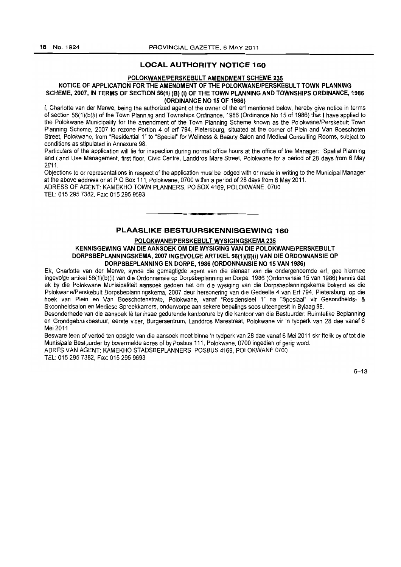## **LOCAL AUTHORITY NOTICE 160**

## **POLOKWANE/PERSKEBULT AMENDMENT SCHEME 235**

## NOTICE OF APPLICATION FOR THE AMENDMENT OF THE POLOKWANE/PERSKEBULT TOWN PLANNING **SCHEME, 2007, IN TERMS OF SECTION 56(1) (B) (i) OF THE TOWN PLANNING AND TOWNSHIPS ORDINANCE, 1986 (ORDINANCE NO 15 OF 1986)**

I, Charlotte van der Merwe, being the authorized agent of the owner of the ert mentioned below, hereby give notice in terms of section 56(1}(b)(i) of the Town Planning and Townships Ordinance, 1986 (Ordinance No 15 of 1986) that I have applied to the Polokwane Municipality for the amendment of the Town Planning Scheme known as the Polokwane/Perskebult Town Planning Scheme, 2007 to rezone Portion 4 of erf 794, Pietersburg, situated at the corner of Plein and Van Boeschoten Street, Polokwane, from "Residential 1" to "Special" for Wellness & Beauty Salon and Medical Consulting Rooms, subject to conditions as stipulated in Annexure 98.

Particulars of the application will lie for inspection during normal office hours at the office of the Manager: Spatial Planning and land Use Management, first floor, Civic Centre, Landdros Mare Street, Polokwane for a period of 28 days from 6 May 2011

Objections to or representations in respect of the application must be lodged with or made in writing to the Municipal Manager at the above address or at P O Box 111, Polokwane, 0700 within a period of 28 days from 6 May 2011.

ADRESS OF AGENT: KAMEKHO TOWN PLANNERS, PO BOX 4169, POLOKWANE, 0700 TEL: 015295 7382, Fax: 015295 9693

## **PLAASLIKE BESTUURSKENNISGEWING 160**

**• I** 

## **POLOKWANE/PERSKEBULT WYSIGINGSKEMA 235**

**KENNISGEWING VAN DIE AANSOEK OM DIE WYSIGING VAN DIE POLOKWANE/PERSKEBULT**  DORPSBEPLANNINGSKEMA, 2007 INGEVOLGE ARTIKEL 56(1)(B)(i) VAN DIE ORDONNANSIE OP **DORPSBEPlANNING EN DORPE, 1986 (ORDONNANSIE NO 15 VAN 1986)** 

Ek, Charlotte van der Merwe, synde die gemagtigde agent van die eienaar van die ondergenoemde ert, gee hiermee ingevolge artikel 56(1)(b)(i) van die Ordonnansie op Dorpsbeplanning en Dorpe, 1986 (Ordonnansie 15 van 1986) kennis dat ek by die Polokwane Munisipaliteit aansoek gedoen het om die wysiging van die Dorpsbeplanningskema bekend as die Polokwane/Perskebult Oorpsbeplanningskema, 2007 deur hersonering van die Gedeelte 4 van Ert 794, Pietersburg, op die hoek van Plein en Van Boeschotenstrate, Polokwane, vanaf "Residensieel 1" na "Spesiaal" vir Gesondheids- & Skoonheidsalon en Mediese Spreekkamers, onderworpe aan sekere bepalings soos uiteengesit in Bylaag 98.

Besonderhede van die aansoek Ie ter insae gedurende kantoorure by die kantoor van die Bestuurder: Ruimtelike Beplanning en Grondgebruikbestuur, eerste vloer, Burgersentrum, Landdros Marestraat, Polokwane vir 'n tydperk van 28 dae vanaf 6 Mei 2011.

Besware teen of vertoe ten opsigte van die aansoek moet binne 'n tydperk van 28 dae vanaf 6 Me; 2011 skriftelik by of tot die Munisipale Bestuurder by bovermelde adres of by Posbus 111, Polokwane, 0700 ingedien of gerig word. ADRES VAN AGENT: KAMEKHO STADSBEPLANNERS, POSBUS 4169, POLOKWANE 0700 TEL: 015 295 7382, Fax: 015 295 9693

 $6 - 13$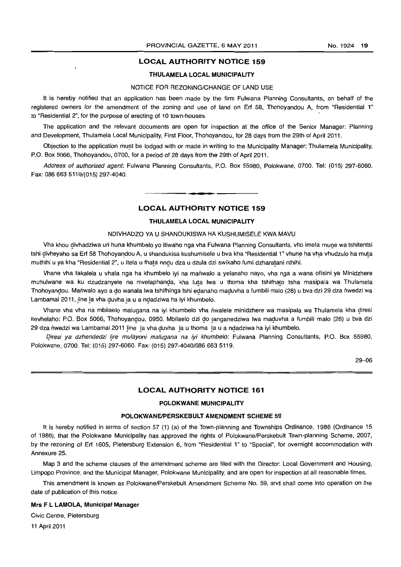## LOCAL AUTHORITY NOTICE 159

## THULAMELA LOCAL MUNICIPALITY

## NOTICE FOR REZONING/CHANGE OF LAND USE

It is hereby notified that an application has been made by the firm Fulwana Planning Consultants, on behalf of the registered owners for the amendment of the zoning and use of land on Erf 58, Thohoyandou A, from "Residential 1" to "Residential 2", for the purpose of erecting of 10 town-houses. .

The application and the relevant documents are open for inspection at the office of the Senior Manager: Planning and Development, Thulamela Local Municipality, First Floor, Thohoyandou, for 28 days from the 29th of April 2011.

Objection to the application must be lodged with or made in writing to the Municipality Manager: Thulamela Municipality, P.O. Box 5066, Thohoyandou, 0700, for a period of 28 days from the 29th of April 2011.

Address of authorised agent: Fulwana Planning Consultants, P.O. Box 55980, Polokwane, 0700. Tel: (015) 297-6060. Fax: 086 663 5119/(015) 297-4040.

## LOCAL AUTHORITY NOTICE 159

I **\_ T** 

## THULAMELA LOCAL MUNICIPALITY

#### NDIVHADZO YA U SHANDUKISWA HA KUSHUMISELE KWA MAVU

Vha khou divhadziwa uri huna khumbelo yo itiwaho nga vha Fulwana Planning Consultants, vho imela mune wa tshitentsi tshi divheyaho sa Erf 58 Thohoyandou A, u shandukisa kushumisele u bva kha "Residential 1" vhune ha vha vhudzulo ha muta muthihi u ya kha "Residential 2", u itela u fhata nndu dza u dzula dzi swikaho fumi dzharatani nthihi.

Vhane vha takalela u vhala nga ha khumbelo iyi na mariwalo a yelanaho nayo, vha nga a wana ofisini ya Minidzhere muhulwane wa ku dzudzanyele na mvelaphanda, kha luta lwa u thoma kha tshifhato tsha masipala wa Thulamela Thohoyandou. Manwalo ayo a do wanala lwa tshifhinga tshi edanaho maduvha a fumbili malo (28) u bva dzi 29 dza nwedzi wa Lambamai 2011, line la vha duvha la u a ndadziwa ha iyi khumbelo.

Vhane vha vha na mbilaelo malugana na iyi khumbelo vha nwalele minidzhere wa masipala wa Thulamela kha diresi itevhelaho: P.O. Box 5066, Thohoyandou, 0950. Mbilaelo dzi do tanganedziwa Iwa maduvha a fumbili malo (28) u bva dzi 29 dza nwedzi wa Lambamai 2011 line la vha duvha la u thoma la u a ndadziwa ha iyi khumbelo.

Diresi ya dzhendedzi lire mulayoni malugana na iyi khumbelo: Fulwana Planning Consultants, P.O. Box 55980, Polokwane, 0700. Tel: (015) 297-6060. Fax: (015) *297-40401086* 663 5119.

29-06

## LOCAL AUTHORITY NOTICE 161

## POLOKWANE MUNICIPALITY

## POLOKWANE/PERSKEBULT AMENDMENT SCHEME 59

It is hereby notified in terms of section 57 (1) (a) of the Town-planning and Townships Ordinance, 1986 (Ordinance 15 of 1986), that the Polokwane Municipality has approved the rights of Polokwane/Perskebult Town-planning Scheme, 2007, by the rezoning of Erf 1605, Pietersburg 'Extension 6, from "Residential 1" to "Special", for overnight accommodation with Annexure 25.

Map 3 and the scheme clauses of the amendment scheme are filed with the Director: Local Government and Housing, Limpopo Province, and the Municipal Manager, Polokwane Municipality, and are open for inspection at all reasonable times.

This amendment is known as Polokwane/Perskebult Amendment Scheme No. 59, and shall come into operation on the date of publication of this notice.

## Mrs F L LAMOLA, Municipal Manager

Civic Centre, Pietersburg

11 April 2011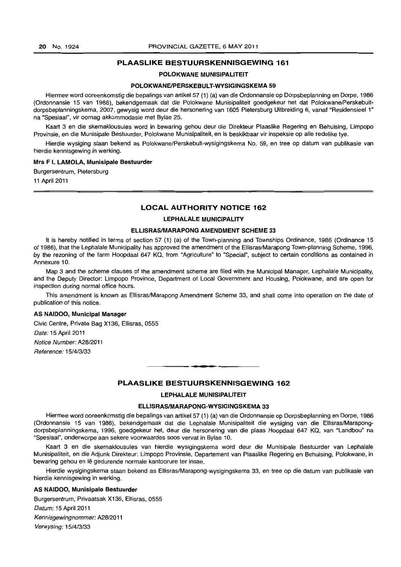## **PLAASLIKE BESTUURSKENNISGEWING 161**

## **POLOKWANE MUNISIPALITEIT**

## **POLOKWANEIPERSKEBULT-WVSIGINGSKEMA 59**

Hiermee word ooreenkomstig die bepalings van artikel 57 (1) (a) van die Ordonnansie op Dorpsbeplanning en Dorpe, 1986 (Ordonnansie 15 van 1986), bekendgemaak dat die Polokwane Munisipaliteit goedgekeur het dat Polokwane/Perskebultdorpsbeplanningskema, 2007, gewysig word deur die hersonering van 1605 Pietersburg Uitbreiding 6, vanaf "Residensieel 1" na "Spesiaal", vir oornag akkommodasie met Bylae 25.

Kaart 3 en die skemaklousules word in bewaring gehou deur die Direkteur Plaaslike Regering en Behuising, Limpopo Provinsie, en die Munisipale Bestuurder, Polokwane Munisipaliteit, en is beskikbaar vir inspeksie op aile redelike tye.

Hierdie wysiging staan bekend as Polokwane/Perskebult-wysigingskema No. 59, en tree op datum van publikasie van hierdie kennisgewing in werking.

#### **Mrs F L LAMOLA, Munisipale Bestuurder**

Burgersentrum, Pietersburg

11 April 2011

## **LOCAL AUTHORITY NOTICE 162**

## **LEPHALALE MUNICIPALITY**

#### **ELLISRASIMARAPONG AMENDMENT SCHEME 33**

It is hereby notified in terms of section 57 (1) (a) of the Town-planning and Townships Ordinance, 1986 (Ordinance 15 of 1986), that the Lephalale Municipality has approved the amendment of the EllisraslMarapong Town-planning Scheme, 1996, by the rezoning of the farm Hoopdaal 647 KQ, from "Agriculture" to "Special", subject to certain conditions as contained in Annexure 10.

Map 3 and the scheme clauses of the amendment scheme are filed with the Municipal Manager, Lephalale Municipality, and the Deputy Director: Limpopo Province, Department of Local Government and Housing, Polokwane, and are open for inspection during normal office hours.

This amendment is known as Ellisras/Marapong Amendment Scheme 33, and shall come into operation on the date of publication of this notice.

## **AS NAIDOO, Municipal Manager**

Civic Centre, Private Bag X136, Ellisras, 0555 Date: 15 April 2011 Notice Number: A28/2011 Reference: 15/4/3/33

## **PLAASLIKE BESTUURSKENNISGEWING 162**

**-**

## **LEPHALALE MUNISIPALITEIT**

#### **ELLISRAS/MARAPONG-WVSIGINGSKEMA 33**

Hiermee word ooreenkomstig die bepalings van artikel 57 (1) (a) van die Ordonnansie op Dorpsbeplanning en Dorpe, 1986 (Ordonnansie 15 van 1986), bekendgemaak dat die Lephalale Munisipaliteit die wysiging van die Ellisras/Marapongdorpsbeplanningskema, 1996, goedgekeur het, deur die hersonering van die plaas Hoopdaal 647 KQ, van "Landbou" na "Spesiaal", onderworpe aan sekere voorwaardes soos verval in Bylae 10.

Kaart 3 en die skemaklousules van hierdie wysigingskema word deur die Munisipale Bestuurder van Lephalale Munisipaliteit, en die Adjunk Direkteur: Limpopo Provinsie, Departement van Plaaslike Regering en Behuising, Polokwane, in bewaring gehou en Iê gedurende normale kantoorure ter insae.

Hierdie wysigingskema staan bekend as Ellisras/Marapong-wysigingskema 33, en tree op die datum van publikasie van hierdie kennisgewing in werking.

## **AS NAIDOO, Munisipale Bestuurder**

Burgersentrum, Privaatsak X136, Ellisras, 0555 Datum: 15 April 2011 Kennisgewingnommer: A28/2011 Verwysing: 15/4/3/33